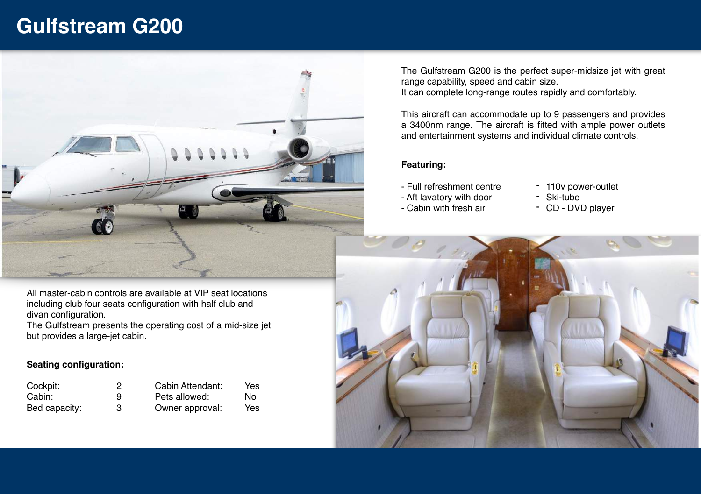## **Gulfstream G200**



All master-cabin controls are available at VIP seat locations including club four seats configuration with half club and divan configuration.

The Gulfstream presents the operating cost of a mid-size jet but provides a large-jet cabin.

## **Seating configuration:**

| Cockpit:      |   | Cabin Attendant: | Yes |
|---------------|---|------------------|-----|
| Cabin:        | 9 | Pets allowed:    | Nο  |
| Bed capacity: |   | Owner approval:  | Yes |

The Gulfstream G200 is the perfect super-midsize jet with great range capability, speed and cabin size. It can complete long-range routes rapidly and comfortably.

This aircraft can accommodate up to 9 passengers and provides a 3400nm range. The aircraft is fitted with ample power outlets and entertainment systems and individual climate controls.

## **Featuring:**

- Full refreshment centre
- Aft lavatory with door
- Cabin with fresh air
- 110v power-outlet
- Ski-tube
- CD DVD player